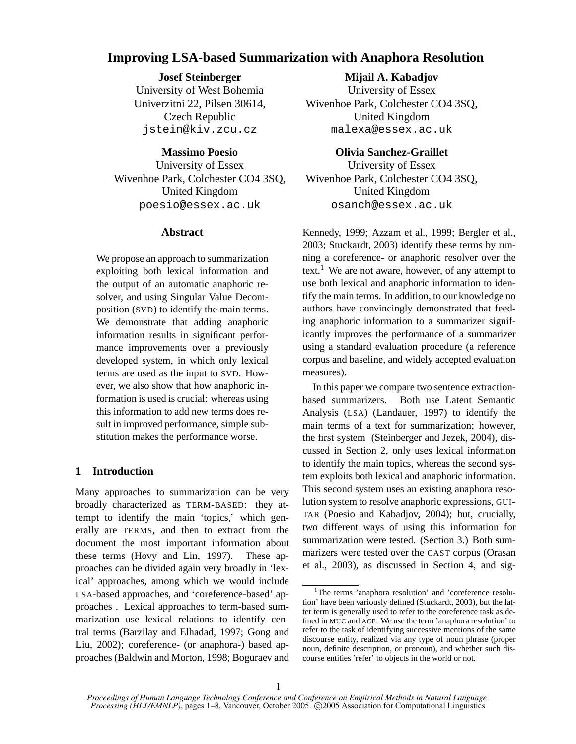# **Improving LSA-based Summarization with Anaphora Resolution**

### **Josef Steinberger**

University of West Bohemia Univerzitni 22, Pilsen 30614, Czech Republic jstein@kiv.zcu.cz

**Massimo Poesio**

University of Essex Wivenhoe Park, Colchester CO4 3SQ, United Kingdom poesio@essex.ac.uk

### **Abstract**

We propose an approach to summarization exploiting both lexical information and the output of an automatic anaphoric resolver, and using Singular Value Decomposition (SVD) to identify the main terms. We demonstrate that adding anaphoric information results in significant performance improvements over a previously developed system, in which only lexical terms are used as the input to SVD. However, we also show that how anaphoric information is used is crucial: whereas using this information to add new terms does result in improved performance, simple substitution makes the performance worse.

# **1 Introduction**

Many approaches to summarization can be very broadly characterized as TERM-BASED: they attempt to identify the main 'topics,' which generally are TERMS, and then to extract from the document the most important information about these terms (Hovy and Lin, 1997). These approaches can be divided again very broadly in 'lexical' approaches, among which we would include LSA-based approaches, and 'coreference-based' approaches . Lexical approaches to term-based summarization use lexical relations to identify central terms (Barzilay and Elhadad, 1997; Gong and Liu, 2002); coreference- (or anaphora-) based approaches (Baldwin and Morton, 1998; Boguraev and

**Mijail A. Kabadjov** University of Essex Wivenhoe Park, Colchester CO4 3SQ, United Kingdom malexa@essex.ac.uk

# **Olivia Sanchez-Graillet**

University of Essex Wivenhoe Park, Colchester CO4 3SQ, United Kingdom osanch@essex.ac.uk

Kennedy, 1999; Azzam et al., 1999; Bergler et al., 2003; Stuckardt, 2003) identify these terms by running a coreference- or anaphoric resolver over the text.<sup>1</sup> We are not aware, however, of any attempt to use both lexical and anaphoric information to identify the main terms. In addition, to our knowledge no authors have convincingly demonstrated that feeding anaphoric information to a summarizer significantly improves the performance of a summarizer using a standard evaluation procedure (a reference corpus and baseline, and widely accepted evaluation measures).

In this paper we compare two sentence extractionbased summarizers. Both use Latent Semantic Analysis (LSA) (Landauer, 1997) to identify the main terms of a text for summarization; however, the first system (Steinberger and Jezek, 2004), discussed in Section 2, only uses lexical information to identify the main topics, whereas the second system exploits both lexical and anaphoric information. This second system uses an existing anaphora resolution system to resolve anaphoric expressions, GUI-TAR (Poesio and Kabadjov, 2004); but, crucially, two different ways of using this information for summarization were tested. (Section 3.) Both summarizers were tested over the CAST corpus (Orasan et al., 2003), as discussed in Section 4, and sig-

<sup>&</sup>lt;sup>1</sup>The terms 'anaphora resolution' and 'coreference resolution' have been variously defined (Stuckardt, 2003), but the latter term is generally used to refer to the coreference task as defined in MUC and ACE. We use the term 'anaphora resolution' to refer to the task of identifying successive mentions of the same discourse entity, realized via any type of noun phrase (proper noun, definite description, or pronoun), and whether such discourse entities 'refer' to objects in the world or not.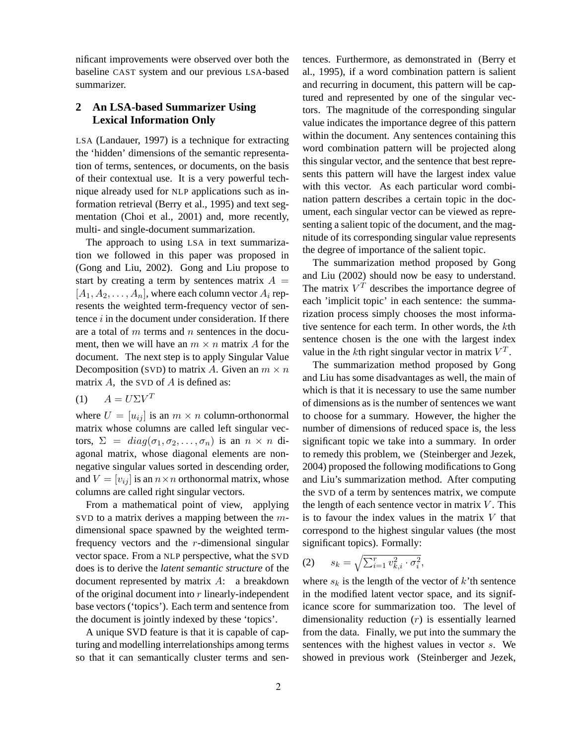nificant improvements were observed over both the baseline CAST system and our previous LSA-based summarizer.

# **2 An LSA-based Summarizer Using Lexical Information Only**

LSA (Landauer, 1997) is a technique for extracting the 'hidden' dimensions of the semantic representation of terms, sentences, or documents, on the basis of their contextual use. It is a very powerful technique already used for NLP applications such as information retrieval (Berry et al., 1995) and text segmentation (Choi et al., 2001) and, more recently, multi- and single-document summarization.

The approach to using LSA in text summarization we followed in this paper was proposed in (Gong and Liu, 2002). Gong and Liu propose to start by creating a term by sentences matrix  $A =$  $[A_1, A_2, \ldots, A_n]$ , where each column vector  $A_i$  represents the weighted term-frequency vector of sentence  $i$  in the document under consideration. If there are a total of  $m$  terms and  $n$  sentences in the document, then we will have an  $m \times n$  matrix A for the document. The next step is to apply Singular Value Decomposition (SVD) to matrix A. Given an  $m \times n$ matrix  $A$ , the SVD of  $A$  is defined as:

$$
(1) \qquad A = U \Sigma V^T
$$

where  $U = [u_{ij}]$  is an  $m \times n$  column-orthonormal matrix whose columns are called left singular vectors,  $\Sigma = diag(\sigma_1, \sigma_2, \dots, \sigma_n)$  is an  $n \times n$  diagonal matrix, whose diagonal elements are nonnegative singular values sorted in descending order, and  $V = [v_{ij}]$  is an  $n \times n$  orthonormal matrix, whose columns are called right singular vectors.

From a mathematical point of view, applying SVD to a matrix derives a mapping between the mdimensional space spawned by the weighted termfrequency vectors and the r-dimensional singular vector space. From a NLP perspective, what the SVD does is to derive the *latent semantic structure* of the document represented by matrix A: a breakdown of the original document into  $r$  linearly-independent base vectors ('topics'). Each term and sentence from the document is jointly indexed by these 'topics'.

A unique SVD feature is that it is capable of capturing and modelling interrelationships among terms so that it can semantically cluster terms and sentences. Furthermore, as demonstrated in (Berry et al., 1995), if a word combination pattern is salient and recurring in document, this pattern will be captured and represented by one of the singular vectors. The magnitude of the corresponding singular value indicates the importance degree of this pattern within the document. Any sentences containing this word combination pattern will be projected along this singular vector, and the sentence that best represents this pattern will have the largest index value with this vector. As each particular word combination pattern describes a certain topic in the document, each singular vector can be viewed as representing a salient topic of the document, and the magnitude of its corresponding singular value represents the degree of importance of the salient topic.

The summarization method proposed by Gong and Liu (2002) should now be easy to understand. The matrix  $V^T$  describes the importance degree of each 'implicit topic' in each sentence: the summarization process simply chooses the most informative sentence for each term. In other words, the kth sentence chosen is the one with the largest index value in the *k*th right singular vector in matrix  $V<sup>T</sup>$ .

The summarization method proposed by Gong and Liu has some disadvantages as well, the main of which is that it is necessary to use the same number of dimensions as is the number of sentences we want to choose for a summary. However, the higher the number of dimensions of reduced space is, the less significant topic we take into a summary. In order to remedy this problem, we (Steinberger and Jezek, 2004) proposed the following modifications to Gong and Liu's summarization method. After computing the SVD of a term by sentences matrix, we compute the length of each sentence vector in matrix  $V$ . This is to favour the index values in the matrix  $V$  that correspond to the highest singular values (the most significant topics). Formally:

$$
(2) \qquad s_k = \sqrt{\sum_{i=1}^r v_{k,i}^2 \cdot \sigma_i^2},
$$

where  $s_k$  is the length of the vector of k'th sentence in the modified latent vector space, and its significance score for summarization too. The level of dimensionality reduction  $(r)$  is essentially learned from the data. Finally, we put into the summary the sentences with the highest values in vector s. We showed in previous work (Steinberger and Jezek,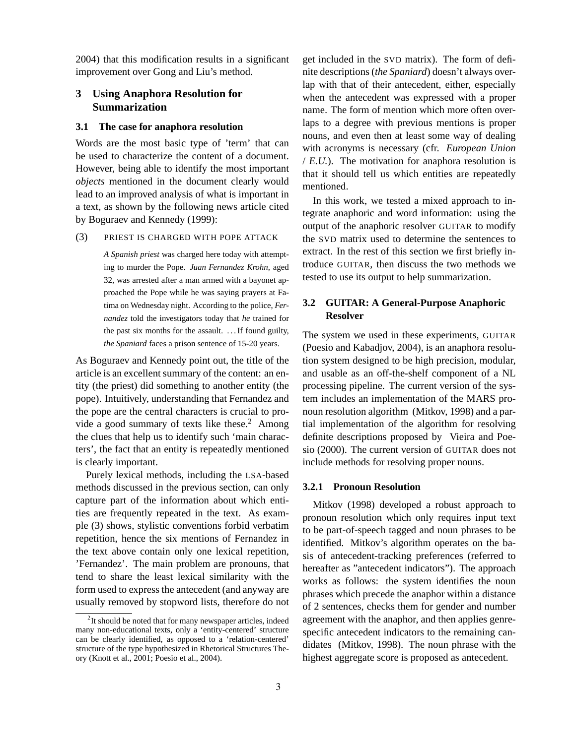2004) that this modification results in a significant improvement over Gong and Liu's method.

# **3 Using Anaphora Resolution for Summarization**

#### **3.1 The case for anaphora resolution**

Words are the most basic type of 'term' that can be used to characterize the content of a document. However, being able to identify the most important *objects* mentioned in the document clearly would lead to an improved analysis of what is important in a text, as shown by the following news article cited by Boguraev and Kennedy (1999):

(3) PRIEST IS CHARGED WITH POPE ATTACK

*A Spanish priest* was charged here today with attempting to murder the Pope. *Juan Fernandez Krohn*, aged 32, was arrested after a man armed with a bayonet approached the Pope while he was saying prayers at Fatima on Wednesday night. According to the police, *Fernandez* told the investigators today that *he* trained for the past six months for the assault. . . . If found guilty, *the Spaniard* faces a prison sentence of 15-20 years.

As Boguraev and Kennedy point out, the title of the article is an excellent summary of the content: an entity (the priest) did something to another entity (the pope). Intuitively, understanding that Fernandez and the pope are the central characters is crucial to provide a good summary of texts like these.<sup>2</sup> Among the clues that help us to identify such 'main characters', the fact that an entity is repeatedly mentioned is clearly important.

Purely lexical methods, including the LSA-based methods discussed in the previous section, can only capture part of the information about which entities are frequently repeated in the text. As example (3) shows, stylistic conventions forbid verbatim repetition, hence the six mentions of Fernandez in the text above contain only one lexical repetition, 'Fernandez'. The main problem are pronouns, that tend to share the least lexical similarity with the form used to express the antecedent (and anyway are usually removed by stopword lists, therefore do not

get included in the SVD matrix). The form of definite descriptions (*the Spaniard*) doesn't always overlap with that of their antecedent, either, especially when the antecedent was expressed with a proper name. The form of mention which more often overlaps to a degree with previous mentions is proper nouns, and even then at least some way of dealing with acronyms is necessary (cfr. *European Union* / *E.U.*). The motivation for anaphora resolution is that it should tell us which entities are repeatedly mentioned.

In this work, we tested a mixed approach to integrate anaphoric and word information: using the output of the anaphoric resolver GUITAR to modify the SVD matrix used to determine the sentences to extract. In the rest of this section we first briefly introduce GUITAR, then discuss the two methods we tested to use its output to help summarization.

### **3.2 GUITAR: A General-Purpose Anaphoric Resolver**

The system we used in these experiments, GUITAR (Poesio and Kabadjov, 2004), is an anaphora resolution system designed to be high precision, modular, and usable as an off-the-shelf component of a NL processing pipeline. The current version of the system includes an implementation of the MARS pronoun resolution algorithm (Mitkov, 1998) and a partial implementation of the algorithm for resolving definite descriptions proposed by Vieira and Poesio (2000). The current version of GUITAR does not include methods for resolving proper nouns.

#### **3.2.1 Pronoun Resolution**

Mitkov (1998) developed a robust approach to pronoun resolution which only requires input text to be part-of-speech tagged and noun phrases to be identified. Mitkov's algorithm operates on the basis of antecedent-tracking preferences (referred to hereafter as "antecedent indicators"). The approach works as follows: the system identifies the noun phrases which precede the anaphor within a distance of 2 sentences, checks them for gender and number agreement with the anaphor, and then applies genrespecific antecedent indicators to the remaining candidates (Mitkov, 1998). The noun phrase with the highest aggregate score is proposed as antecedent.

<sup>&</sup>lt;sup>2</sup>It should be noted that for many newspaper articles, indeed many non-educational texts, only a 'entity-centered' structure can be clearly identified, as opposed to a 'relation-centered' structure of the type hypothesized in Rhetorical Structures Theory (Knott et al., 2001; Poesio et al., 2004).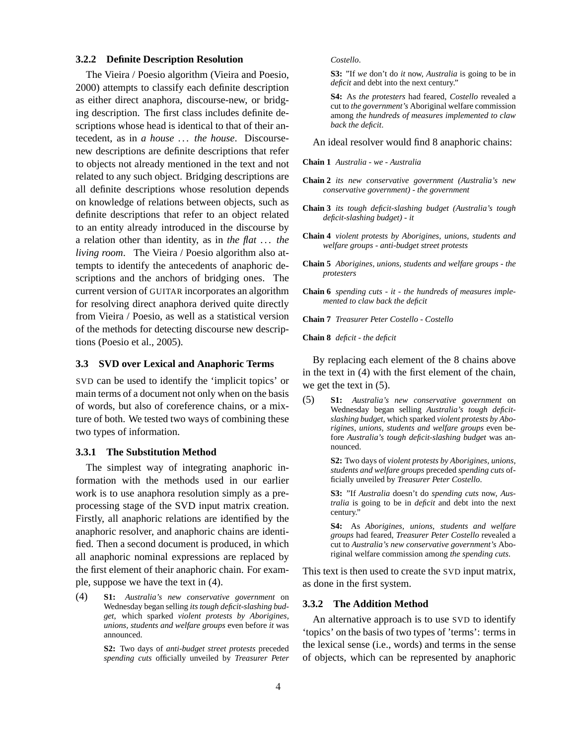#### **3.2.2 Definite Description Resolution**

The Vieira / Poesio algorithm (Vieira and Poesio, 2000) attempts to classify each definite description as either direct anaphora, discourse-new, or bridging description. The first class includes definite descriptions whose head is identical to that of their antecedent, as in *a house* . . . *the house*. Discoursenew descriptions are definite descriptions that refer to objects not already mentioned in the text and not related to any such object. Bridging descriptions are all definite descriptions whose resolution depends on knowledge of relations between objects, such as definite descriptions that refer to an object related to an entity already introduced in the discourse by a relation other than identity, as in *the flat* . . . *the living room*. The Vieira / Poesio algorithm also attempts to identify the antecedents of anaphoric descriptions and the anchors of bridging ones. The current version of GUITAR incorporates an algorithm for resolving direct anaphora derived quite directly from Vieira / Poesio, as well as a statistical version of the methods for detecting discourse new descriptions (Poesio et al., 2005).

#### **3.3 SVD over Lexical and Anaphoric Terms**

SVD can be used to identify the 'implicit topics' or main terms of a document not only when on the basis of words, but also of coreference chains, or a mixture of both. We tested two ways of combining these two types of information.

#### **3.3.1 The Substitution Method**

The simplest way of integrating anaphoric information with the methods used in our earlier work is to use anaphora resolution simply as a preprocessing stage of the SVD input matrix creation. Firstly, all anaphoric relations are identified by the anaphoric resolver, and anaphoric chains are identified. Then a second document is produced, in which all anaphoric nominal expressions are replaced by the first element of their anaphoric chain. For example, suppose we have the text in (4).

(4) **S1:** *Australia's new conservative government* on Wednesday began selling *its tough deficit-slashing budget*, which sparked *violent protests by Aborigines, unions, students and welfare groups* even before *it* was announced.

> **S2:** Two days of *anti-budget street protests* preceded *spending cuts* officially unveiled by *Treasurer Peter*

#### *Costello*.

**S3:** "If *we* don't do *it* now, *Australia* is going to be in *deficit* and debt into the next century."

**S4:** As *the protesters* had feared, *Costello* revealed a cut to *the government's* Aboriginal welfare commission among *the hundreds of measures implemented to claw back the deficit*.

- An ideal resolver would find 8 anaphoric chains:
- **Chain 1** *Australia we Australia*
- **Chain 2** *its new conservative government (Australia's new conservative government)* - *the government*
- **Chain 3** *its tough deficit-slashing budget (Australia's tough deficit-slashing budget)* - *it*
- **Chain 4** *violent protests by Aborigines, unions, students and welfare groups* - *anti-budget street protests*
- **Chain 5** *Aborigines, unions, students and welfare groups the protesters*
- **Chain 6** *spending cuts it the hundreds of measures implemented to claw back the deficit*
- **Chain 7** *Treasurer Peter Costello Costello*

**Chain 8** *deficit* - *the deficit*

By replacing each element of the 8 chains above in the text in (4) with the first element of the chain, we get the text in (5).

(5) **S1:** *Australia's new conservative government* on Wednesday began selling *Australia's tough deficitslashing budget*, which sparked *violent protests by Aborigines, unions, students and welfare groups* even before *Australia's tough deficit-slashing budget* was announced.

> **S2:** Two days of *violent protests by Aborigines, unions, students and welfare groups* preceded *spending cuts* officially unveiled by *Treasurer Peter Costello*.

> **S3:** "If *Australia* doesn't do *spending cuts* now, *Australia* is going to be in *deficit* and debt into the next century."

> **S4:** As *Aborigines, unions, students and welfare groups* had feared, *Treasurer Peter Costello* revealed a cut to *Australia's new conservative government's* Aboriginal welfare commission among *the spending cuts*.

This text is then used to create the SVD input matrix, as done in the first system.

#### **3.3.2 The Addition Method**

An alternative approach is to use SVD to identify 'topics' on the basis of two types of 'terms': terms in the lexical sense (i.e., words) and terms in the sense of objects, which can be represented by anaphoric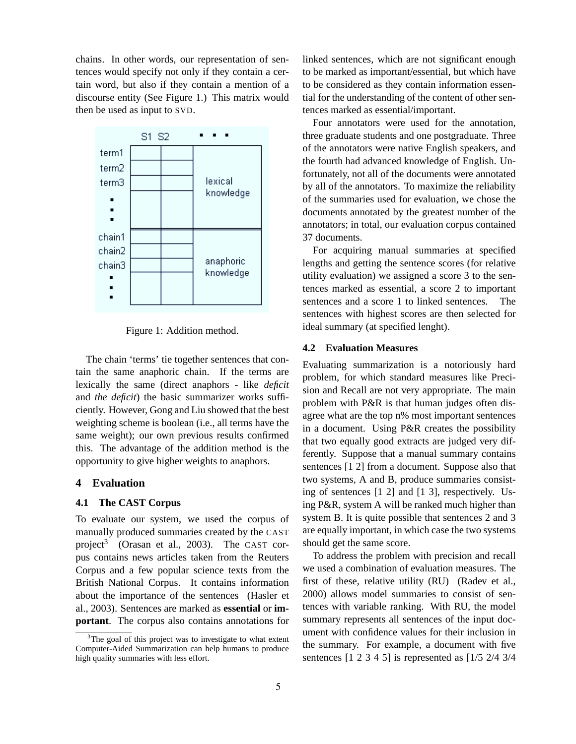chains. In other words, our representation of sentences would specify not only if they contain a certain word, but also if they contain a mention of a discourse entity (See Figure 1.) This matrix would then be used as input to SVD.



Figure 1: Addition method.

The chain 'terms' tie together sentences that contain the same anaphoric chain. If the terms are lexically the same (direct anaphors - like *deficit* and *the deficit*) the basic summarizer works sufficiently. However, Gong and Liu showed that the best weighting scheme is boolean (i.e., all terms have the same weight); our own previous results confirmed this. The advantage of the addition method is the opportunity to give higher weights to anaphors.

#### **4 Evaluation**

#### **4.1 The CAST Corpus**

To evaluate our system, we used the corpus of manually produced summaries created by the CAST project<sup>3</sup> (Orasan et al., 2003). The CAST corpus contains news articles taken from the Reuters Corpus and a few popular science texts from the British National Corpus. It contains information about the importance of the sentences (Hasler et al., 2003). Sentences are marked as **essential** or **important**. The corpus also contains annotations for linked sentences, which are not significant enough to be marked as important/essential, but which have to be considered as they contain information essential for the understanding of the content of other sentences marked as essential/important.

Four annotators were used for the annotation, three graduate students and one postgraduate. Three of the annotators were native English speakers, and the fourth had advanced knowledge of English. Unfortunately, not all of the documents were annotated by all of the annotators. To maximize the reliability of the summaries used for evaluation, we chose the documents annotated by the greatest number of the annotators; in total, our evaluation corpus contained 37 documents.

For acquiring manual summaries at specified lengths and getting the sentence scores (for relative utility evaluation) we assigned a score 3 to the sentences marked as essential, a score 2 to important sentences and a score 1 to linked sentences. The sentences with highest scores are then selected for ideal summary (at specified lenght).

### **4.2 Evaluation Measures**

Evaluating summarization is a notoriously hard problem, for which standard measures like Precision and Recall are not very appropriate. The main problem with P&R is that human judges often disagree what are the top n% most important sentences in a document. Using P&R creates the possibility that two equally good extracts are judged very differently. Suppose that a manual summary contains sentences [1 2] from a document. Suppose also that two systems, A and B, produce summaries consisting of sentences [1 2] and [1 3], respectively. Using P&R, system A will be ranked much higher than system B. It is quite possible that sentences 2 and 3 are equally important, in which case the two systems should get the same score.

To address the problem with precision and recall we used a combination of evaluation measures. The first of these, relative utility (RU) (Radev et al., 2000) allows model summaries to consist of sentences with variable ranking. With RU, the model summary represents all sentences of the input document with confidence values for their inclusion in the summary. For example, a document with five sentences [1 2 3 4 5] is represented as [1/5 2/4 3/4

<sup>&</sup>lt;sup>3</sup>The goal of this project was to investigate to what extent Computer-Aided Summarization can help humans to produce high quality summaries with less effort.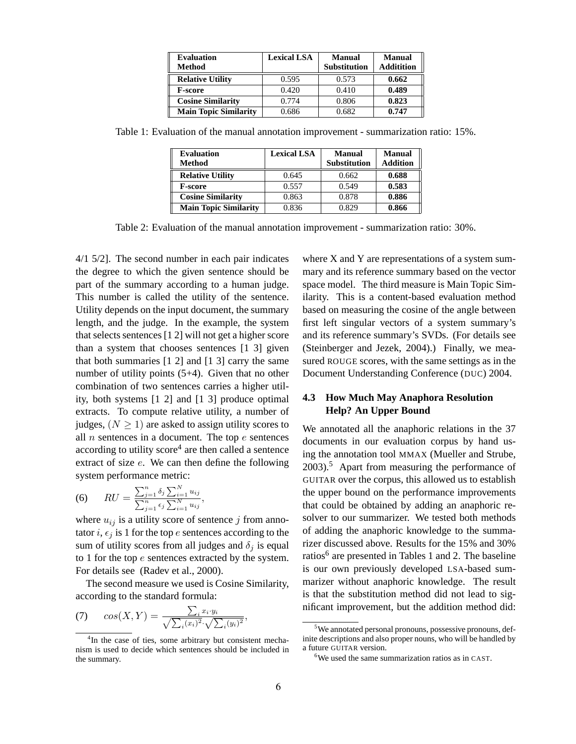| <b>Evaluation</b><br>Method  | <b>Lexical LSA</b> | <b>Manual</b><br><b>Substitution</b> | <b>Manual</b><br><b>Additition</b> |
|------------------------------|--------------------|--------------------------------------|------------------------------------|
| <b>Relative Utility</b>      | 0.595              | 0.573                                | 0.662                              |
| <b>F-score</b>               | 0.420              | 0.410                                | 0.489                              |
| <b>Cosine Similarity</b>     | 0.774              | 0.806                                | 0.823                              |
| <b>Main Topic Similarity</b> | 0.686              | 0.682                                | 0.747                              |

Table 1: Evaluation of the manual annotation improvement - summarization ratio: 15%.

| <b>Evaluation</b><br><b>Method</b> | <b>Lexical LSA</b> | <b>Manual</b><br><b>Substitution</b> | <b>Manual</b><br><b>Addition</b> |
|------------------------------------|--------------------|--------------------------------------|----------------------------------|
| <b>Relative Utility</b>            | 0.645              | 0.662                                | 0.688                            |
| <b>F-score</b>                     | 0.557              | 0.549                                | 0.583                            |
| <b>Cosine Similarity</b>           | 0.863              | 0.878                                | 0.886                            |
| <b>Main Topic Similarity</b>       | 0.836              | 0.829                                | 0.866                            |

Table 2: Evaluation of the manual annotation improvement - summarization ratio: 30%.

4/1 5/2]. The second number in each pair indicates the degree to which the given sentence should be part of the summary according to a human judge. This number is called the utility of the sentence. Utility depends on the input document, the summary length, and the judge. In the example, the system that selects sentences [1 2] will not get a higher score than a system that chooses sentences [1 3] given that both summaries [1 2] and [1 3] carry the same number of utility points (5+4). Given that no other combination of two sentences carries a higher utility, both systems [1 2] and [1 3] produce optimal extracts. To compute relative utility, a number of judges,  $(N > 1)$  are asked to assign utility scores to all  $n$  sentences in a document. The top  $e$  sentences according to utility score<sup>4</sup> are then called a sentence extract of size e. We can then define the following system performance metric:

(6) 
$$
RU = \frac{\sum_{j=1}^{n} \delta_j \sum_{i=1}^{N} u_{ij}}{\sum_{j=1}^{n} \epsilon_j \sum_{i=1}^{N} u_{ij}},
$$

where  $u_{ij}$  is a utility score of sentence j from annotator  $i, \epsilon_j$  is 1 for the top e sentences according to the sum of utility scores from all judges and  $\delta_i$  is equal to 1 for the top e sentences extracted by the system. For details see (Radev et al., 2000).

The second measure we used is Cosine Similarity, according to the standard formula:

$$
(7) \qquad \cos(X,Y) = \frac{\sum_i x_i \cdot y_i}{\sqrt{\sum_i (x_i)^2} \cdot \sqrt{\sum_i (y_i)^2}},
$$

where X and Y are representations of a system summary and its reference summary based on the vector space model. The third measure is Main Topic Similarity. This is a content-based evaluation method based on measuring the cosine of the angle between first left singular vectors of a system summary's and its reference summary's SVDs. (For details see (Steinberger and Jezek, 2004).) Finally, we measured ROUGE scores, with the same settings as in the Document Understanding Conference (DUC) 2004.

# **4.3 How Much May Anaphora Resolution Help? An Upper Bound**

We annotated all the anaphoric relations in the 37 documents in our evaluation corpus by hand using the annotation tool MMAX (Mueller and Strube,  $2003$ .<sup>5</sup> Apart from measuring the performance of GUITAR over the corpus, this allowed us to establish the upper bound on the performance improvements that could be obtained by adding an anaphoric resolver to our summarizer. We tested both methods of adding the anaphoric knowledge to the summarizer discussed above. Results for the 15% and 30% ratios<sup>6</sup> are presented in Tables 1 and 2. The baseline is our own previously developed LSA-based summarizer without anaphoric knowledge. The result is that the substitution method did not lead to significant improvement, but the addition method did:

<sup>&</sup>lt;sup>4</sup>In the case of ties, some arbitrary but consistent mechanism is used to decide which sentences should be included in the summary.

<sup>5</sup>We annotated personal pronouns, possessive pronouns, definite descriptions and also proper nouns, who will be handled by a future GUITAR version.

 $6$ We used the same summarization ratios as in CAST.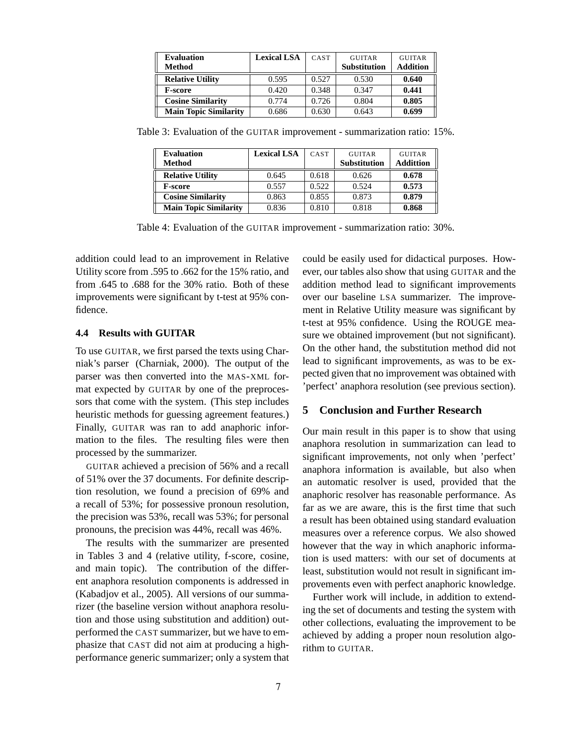| <b>Evaluation</b><br>Method  | <b>Lexical LSA</b> | CAST  | <b>GUITAR</b><br><b>Substitution</b> | <b>GUITAR</b><br><b>Addition</b> |
|------------------------------|--------------------|-------|--------------------------------------|----------------------------------|
| <b>Relative Utility</b>      | 0.595              | 0.527 | 0.530                                | 0.640                            |
| <b>F-score</b>               | 0.420              | 0.348 | 0.347                                | 0.441                            |
| <b>Cosine Similarity</b>     | 0.774              | 0.726 | 0.804                                | 0.805                            |
| <b>Main Topic Similarity</b> | 0.686              | 0.630 | 0.643                                | 0.699                            |

Table 3: Evaluation of the GUITAR improvement - summarization ratio: 15%.

| <b>Evaluation</b><br><b>Method</b> | <b>Lexical LSA</b> | CAST  | <b>GUITAR</b><br><b>Substitution</b> | <b>GUITAR</b><br><b>Addittion</b> |
|------------------------------------|--------------------|-------|--------------------------------------|-----------------------------------|
| <b>Relative Utility</b>            | 0.645              | 0.618 | 0.626                                | 0.678                             |
| <b>F-score</b>                     | 0.557              | 0.522 | 0.524                                | 0.573                             |
| <b>Cosine Similarity</b>           | 0.863              | 0.855 | 0.873                                | 0.879                             |
| <b>Main Topic Similarity</b>       | 0.836              | 0.810 | 0.818                                | 0.868                             |

Table 4: Evaluation of the GUITAR improvement - summarization ratio: 30%.

addition could lead to an improvement in Relative Utility score from .595 to .662 for the 15% ratio, and from .645 to .688 for the 30% ratio. Both of these improvements were significant by t-test at 95% confidence.

### **4.4 Results with GUITAR**

To use GUITAR, we first parsed the texts using Charniak's parser (Charniak, 2000). The output of the parser was then converted into the MAS-XML format expected by GUITAR by one of the preprocessors that come with the system. (This step includes heuristic methods for guessing agreement features.) Finally, GUITAR was ran to add anaphoric information to the files. The resulting files were then processed by the summarizer.

GUITAR achieved a precision of 56% and a recall of 51% over the 37 documents. For definite description resolution, we found a precision of 69% and a recall of 53%; for possessive pronoun resolution, the precision was 53%, recall was 53%; for personal pronouns, the precision was 44%, recall was 46%.

The results with the summarizer are presented in Tables 3 and 4 (relative utility, f-score, cosine, and main topic). The contribution of the different anaphora resolution components is addressed in (Kabadjov et al., 2005). All versions of our summarizer (the baseline version without anaphora resolution and those using substitution and addition) outperformed the CAST summarizer, but we have to emphasize that CAST did not aim at producing a highperformance generic summarizer; only a system that could be easily used for didactical purposes. However, our tables also show that using GUITAR and the addition method lead to significant improvements over our baseline LSA summarizer. The improvement in Relative Utility measure was significant by t-test at 95% confidence. Using the ROUGE measure we obtained improvement (but not significant). On the other hand, the substitution method did not lead to significant improvements, as was to be expected given that no improvement was obtained with 'perfect' anaphora resolution (see previous section).

# **5 Conclusion and Further Research**

Our main result in this paper is to show that using anaphora resolution in summarization can lead to significant improvements, not only when 'perfect' anaphora information is available, but also when an automatic resolver is used, provided that the anaphoric resolver has reasonable performance. As far as we are aware, this is the first time that such a result has been obtained using standard evaluation measures over a reference corpus. We also showed however that the way in which anaphoric information is used matters: with our set of documents at least, substitution would not result in significant improvements even with perfect anaphoric knowledge.

Further work will include, in addition to extending the set of documents and testing the system with other collections, evaluating the improvement to be achieved by adding a proper noun resolution algorithm to GUITAR.